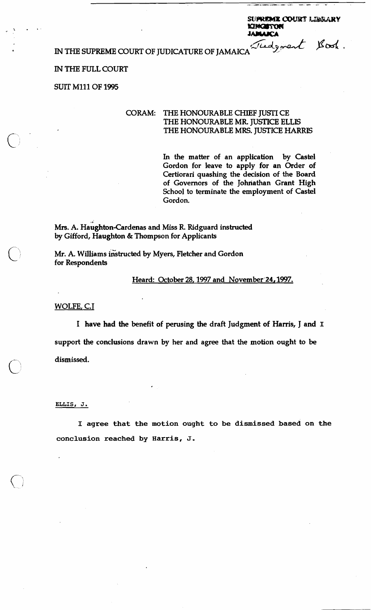**KINGETON**<br>JAMARCA<br>*Liedgevent* IN THE SUPREME COURT OF JUDICATURE OF JAMAICA<sup>Tied</sup> great Sook.

### IN THE FULL COURT

**SUIT** Mlll OF 1995

# CORAM: THE HONOURABLE CHIEF JUSTI CE THE HONOURABLE MR. JUSTICE ELLIS THE HONOURABLE MRS. JUSTICE HARRIS

In the matter of an application by Castel Gordon for leave to apply for an Order of Certiorari quashing the decision of the Board of Governors of the Johnathan Grant High School to terminate the employment of Castel Gordon.

SUPREME COURT LIBRARY

Mrs. A. Haughton-Cardenas and Miss R. Ridguard instructed by Gifford, Haughton & Thompson for Applicants

Mr. A. Williams instructed by Myers, Fletcher and Gordon for Respondents

Heard: October 28, 1997 and November 24, 1997.

WOLFE, **C.1** 

I have had the benefit of perusing the draft Judgment of Harris, J and **1**  support the conclusions drawn by her and agree that the motion ought to be dismissed.

#### **ELLIS, J.**

**I agree that the motion ought to be dismissed based on the conclusion reached by Harris, J.**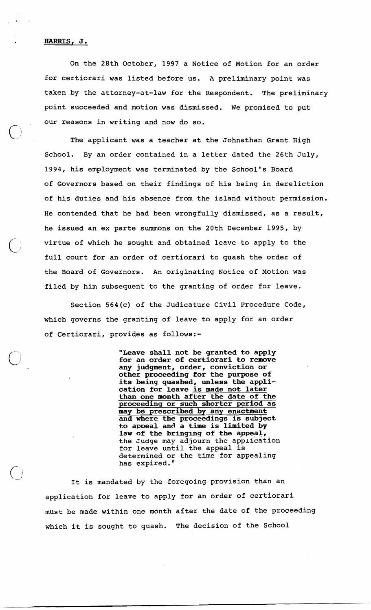## **HARRIS, J.**

On the 28th October, 1997 a Notice of Motion for an order for certiorari was listed before us. A preliminary point was taken by the attorney-at-law for the Respondent. The preliminary point succeeded and motion was dismissed. We promised to put our reasons in writing and now do so.

The applicant was a teacher at the Johnathan Grant High School. By an order contained in a letter dated the 26th July, 1994, his employment was terminated by the School's Board of Governors based on their findings of his being in dereliction of his duties and his absence from the island without permission. He contended that he had been wrongfully dismissed, as a result, he issued an ex parte summons on the 20th December 1995, by virtue of which he sought and obtained leave to apply to the full court for an order of certiorari to quash the order of the Board of Governors. An originating Notice of Motion was filed by him subsequent to the granting of order for leave.

Section 564(c) of the Judicature Civil Procedure Code, which governs the granting of leave to apply for an order of Certiorari, provides as follows:-

> **"Leave shall not be granted to apply for an order of certiorari to remove any judgment, order, conviction or other proceeding for the purpose of its being quashed, unless the application for leave is made not later than one month after the date of the proceedinq or such shorter period as may be prescribed by any enactment and where the proceedings is subject**  to appeal and a time is limited by **law of the bringlng of the appeal,**  the Judge may adjourn the application for leave until the appeal is determined or the time for appealing has expired. "

It is mandated by the foregoing provision than an application for leave to apply for an order of certiorari must be made within one month after the date of the proceeding which it is sought to quash. The decision of the School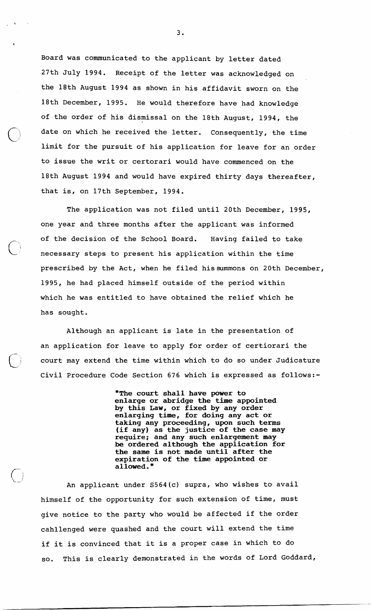Board was communicated to the applicant by letter dated 27th July 1994. Receipt of the letter was acknowledged on the 18th August 1994 as shown in his affidavit sworn on the 18th December, 1995. He would therefore have had knowledge of the order of his dismissal on the 18th August, 1994, the date on which he received the letter. Consequently, the time limit for the pursuit of his application for leave for an order to issue the writ or certorari would have commenced on the 18th August 1994 and would have expired thirty days thereafter, that is, on 17th September, 1994.

The application was not filed until 20th December, 1995, one year and three months after the applicant was informed of the decision of the School Board. Having failed to take necessary steps to present his application within the time prescribed by the Act, when he filed hissummons on 20th December, 1995, he had placed himself outside of the period within which he was entitled to have obtained the relief which he has sought.

 $\left($ 

Although an applicant is late in the presentation of an application for leave to apply for order of certiorari the court may extend the time within which to do so under Judicature Civil Procedure Code Section 676 which is expressed as follows:-

> **"The court shall have power to enlarge or abridge the time appointed by this Law, or fixed by any order enlarging time, for doing any act or taking any proceeding, upon such terms (if any) as the justice of the case may require; and any such enlargement may be ordered although the application for the same is not made until after the expiration of the time appointed or allowed."**

An applicant under S564(c) supra, who wishes to avail himself of the opportunity for such extension of time, must give notice to the party who would be affected if the order cahllenged were quashed and the court will extend the time if it is convinced that it is a proper case in which to do so. This is clearly demonstrated in the words of Lord Goddard,

 $3.$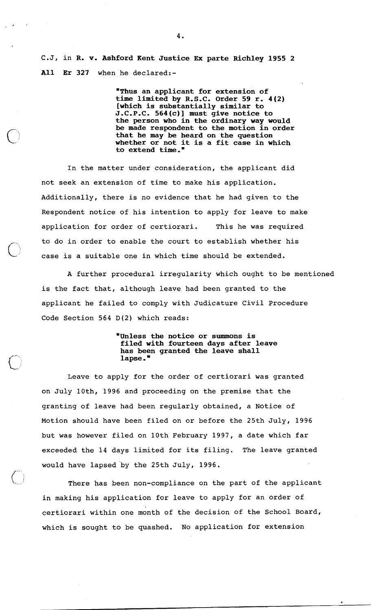C.J, in R. v. Ashford Kent Justice Ex parte Richley 1955 2 All Er 327 when he declared:-

> "Thus an applicant for extension of time limited by R.S.C. Order 59 r. 4(2) [which is substantially similar to J.C.P.C. 564(c)] must give notice to the person who in the ordinary way would be made respondent to the motion in order that he may be heard on the question whether or not it is a fit case in which to extend time."

In the matter under consideration, the applicant did not seek an extension of time to make his application. Additionally, there is no evidence that he had given to the Respondent notice of his intention to apply for leave to make application for order of certiorari. This he was required to do in order to enable the court to establish whether his case is a suitable one in which time should be extended.

 $\bigcap$ 

A further procedural irregularity which ought to be mentioned is the fact that, although leave had been granted to the applicant he failed to comply with Judicature Civil Procedure Code Section 564 **D(2)** which reads:

### "Unless the notice or summons is filed with fourteen days after leave has been granted the leave shall lapse. "

Leave to apply for the order of certiorari was granted on July loth, 1996 and proceeding on the premise that the granting of leave had been regularly obtained, a Notice of Motion should have been filed on or before the 25th July, 1996 but was however filed on 10th February 1997, a date which far exceeded the 14 days limited for its filing. The leave granted would have lapsed'by the 25th July, 1996.

There has been non-compliance on the part of the applicant in making his application for leave to apply for an order of certiorari within one month of the decision of the School Board, which is sought to be quashed. No application for extension